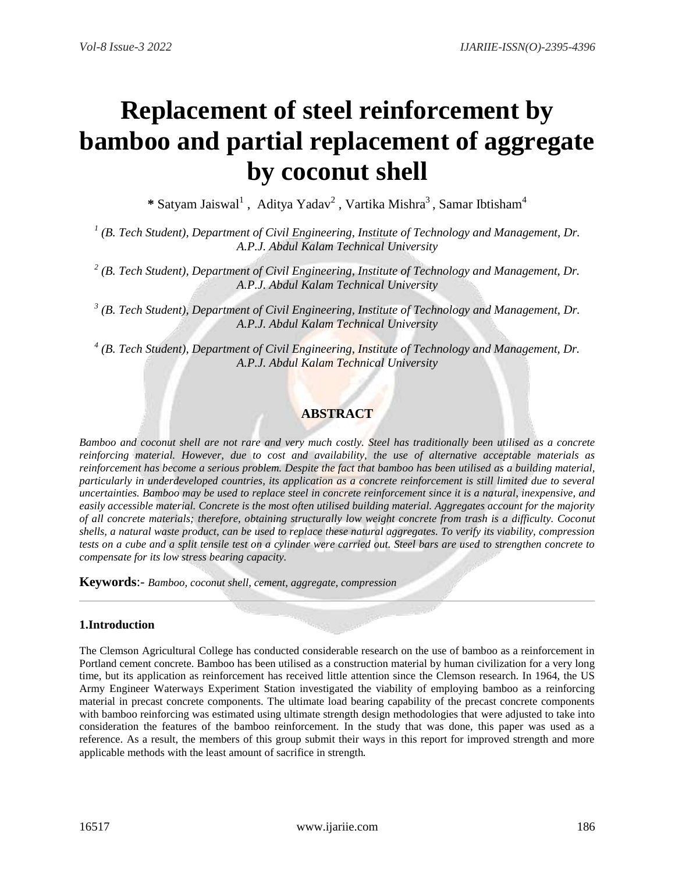# **Replacement of steel reinforcement by bamboo and partial replacement of aggregate by coconut shell**

\* Satyam Jaiswal<sup>1</sup>, Aditya Yadav<sup>2</sup>, Vartika Mishra<sup>3</sup>, Samar Ibtisham<sup>4</sup>

<sup>1</sup> (B. Tech Student), Department of Civil Engineering, Institute of Technology and Management, Dr. *A.P.J. Abdul Kalam Technical University*

*2 (B. Tech Student), Department of Civil Engineering, Institute of Technology and Management, Dr. A.P.J. Abdul Kalam Technical University*

*3 (B. Tech Student), Department of Civil Engineering, Institute of Technology and Management, Dr. A.P.J. Abdul Kalam Technical University*

<sup>4</sup> (B. Tech Student), Department of Civil Engineering, Institute of Technology and Management, Dr. *A.P.J. Abdul Kalam Technical University*

## **ABSTRACT**

*Bamboo and coconut shell are not rare and very much costly. Steel has traditionally been utilised as a concrete reinforcing material. However, due to cost and availability, the use of alternative acceptable materials as reinforcement has become a serious problem. Despite the fact that bamboo has been utilised as a building material, particularly in underdeveloped countries, its application as a concrete reinforcement is still limited due to several uncertainties. Bamboo may be used to replace steel in concrete reinforcement since it is a natural, inexpensive, and easily accessible material. Concrete is the most often utilised building material. Aggregates account for the majority of all concrete materials; therefore, obtaining structurally low weight concrete from trash is a difficulty. Coconut shells, a natural waste product, can be used to replace these natural aggregates. To verify its viability, compression tests on a cube and a split tensile test on a cylinder were carried out. Steel bars are used to strengthen concrete to compensate for its low stress bearing capacity.*

**Keywords**:- *Bamboo, coconut shell, cement, aggregate, compression*

## **1.Introduction**

The Clemson Agricultural College has conducted considerable research on the use of bamboo as a reinforcement in Portland cement concrete. Bamboo has been utilised as a construction material by human civilization for a very long time, but its application as reinforcement has received little attention since the Clemson research. In 1964, the US Army Engineer Waterways Experiment Station investigated the viability of employing bamboo as a reinforcing material in precast concrete components. The ultimate load bearing capability of the precast concrete components with bamboo reinforcing was estimated using ultimate strength design methodologies that were adjusted to take into consideration the features of the bamboo reinforcement. In the study that was done, this paper was used as a reference. As a result, the members of this group submit their ways in this report for improved strength and more applicable methods with the least amount of sacrifice in strength.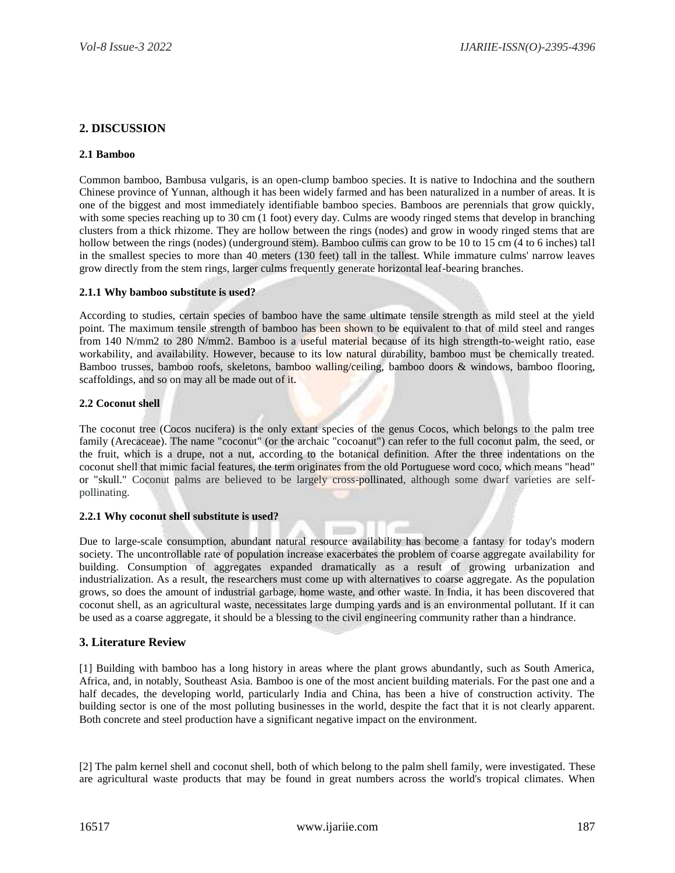## **2. DISCUSSION**

#### **2.1 Bamboo**

Common bamboo, Bambusa vulgaris, is an open-clump bamboo species. It is native to Indochina and the southern Chinese province of Yunnan, although it has been widely farmed and has been naturalized in a number of areas. It is one of the biggest and most immediately identifiable bamboo species. Bamboos are perennials that grow quickly, with some species reaching up to 30 cm (1 foot) every day. Culms are woody ringed stems that develop in branching clusters from a thick rhizome. They are hollow between the rings (nodes) and grow in woody ringed stems that are hollow between the rings (nodes) (underground stem). Bamboo culms can grow to be 10 to 15 cm (4 to 6 inches) tall in the smallest species to more than 40 meters (130 feet) tall in the tallest. While immature culms' narrow leaves grow directly from the stem rings, larger culms frequently generate horizontal leaf-bearing branches.

#### **2.1.1 Why bamboo substitute is used?**

According to studies, certain species of bamboo have the same ultimate tensile strength as mild steel at the yield point. The maximum tensile strength of bamboo has been shown to be equivalent to that of mild steel and ranges from 140 N/mm2 to 280 N/mm2. Bamboo is a useful material because of its high strength-to-weight ratio, ease workability, and availability. However, because to its low natural durability, bamboo must be chemically treated. Bamboo trusses, bamboo roofs, skeletons, bamboo walling/ceiling, bamboo doors & windows, bamboo flooring, scaffoldings, and so on may all be made out of it.

#### **2.2 Coconut shell**

The coconut tree (Cocos nucifera) is the only extant species of the genus Cocos, which belongs to the palm tree family (Arecaceae). The name "coconut" (or the archaic "cocoanut") can refer to the full coconut palm, the seed, or the fruit, which is a drupe, not a nut, according to the botanical definition. After the three indentations on the coconut shell that mimic facial features, the term originates from the old Portuguese word coco, which means "head" or "skull." Coconut palms are believed to be largely cross[-pollinated,](https://www.newworldencyclopedia.org/entry/Pollination) although some dwarf varieties are selfpollinating.

#### **2.2.1 Why coconut shell substitute is used?**

Due to large-scale consumption, abundant natural resource availability has become a fantasy for today's modern society. The uncontrollable rate of population increase exacerbates the problem of coarse aggregate availability for building. Consumption of aggregates expanded dramatically as a result of growing urbanization and industrialization. As a result, the researchers must come up with alternatives to coarse aggregate. As the population grows, so does the amount of industrial garbage, home waste, and other waste. In India, it has been discovered that coconut shell, as an agricultural waste, necessitates large dumping yards and is an environmental pollutant. If it can be used as a coarse aggregate, it should be a blessing to the civil engineering community rather than a hindrance.

## **3. Literature Review**

[1] Building with bamboo has a long history in areas where the plant grows abundantly, such as South America, Africa, and, in notably, Southeast Asia. Bamboo is one of the most ancient building materials. For the past one and a half decades, the developing world, particularly India and China, has been a hive of construction activity. The building sector is one of the most polluting businesses in the world, despite the fact that it is not clearly apparent. Both concrete and steel production have a significant negative impact on the environment.

[2] The palm kernel shell and coconut shell, both of which belong to the palm shell family, were investigated. These are agricultural waste products that may be found in great numbers across the world's tropical climates. When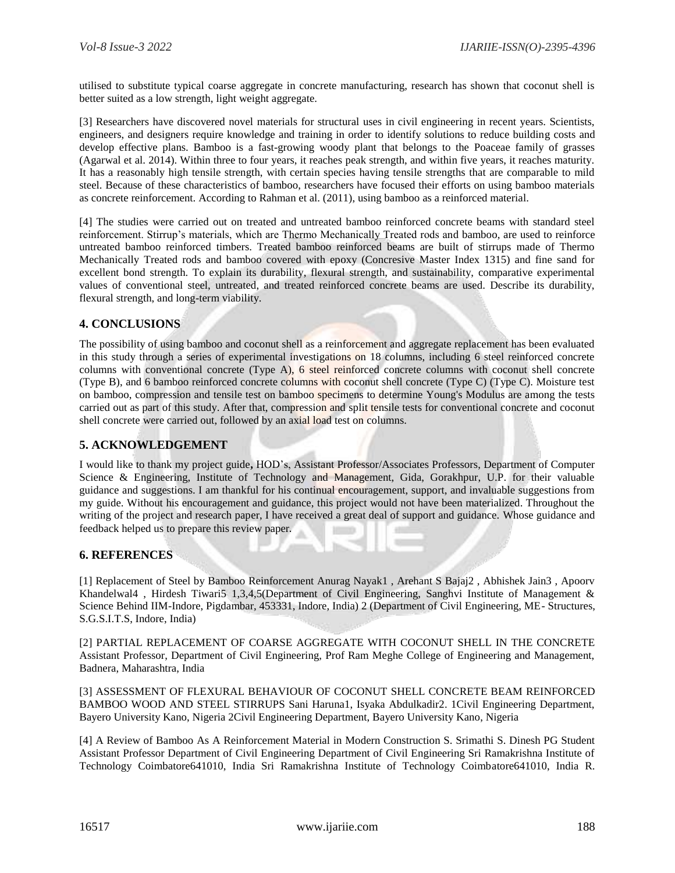utilised to substitute typical coarse aggregate in concrete manufacturing, research has shown that coconut shell is better suited as a low strength, light weight aggregate.

[3] Researchers have discovered novel materials for structural uses in civil engineering in recent years. Scientists, engineers, and designers require knowledge and training in order to identify solutions to reduce building costs and develop effective plans. Bamboo is a fast-growing woody plant that belongs to the Poaceae family of grasses (Agarwal et al. 2014). Within three to four years, it reaches peak strength, and within five years, it reaches maturity. It has a reasonably high tensile strength, with certain species having tensile strengths that are comparable to mild steel. Because of these characteristics of bamboo, researchers have focused their efforts on using bamboo materials as concrete reinforcement. According to Rahman et al. (2011), using bamboo as a reinforced material.

[4] The studies were carried out on treated and untreated bamboo reinforced concrete beams with standard steel reinforcement. Stirrup's materials, which are Thermo Mechanically Treated rods and bamboo, are used to reinforce untreated bamboo reinforced timbers. Treated bamboo reinforced beams are built of stirrups made of Thermo Mechanically Treated rods and bamboo covered with epoxy (Concresive Master Index 1315) and fine sand for excellent bond strength. To explain its durability, flexural strength, and sustainability, comparative experimental values of conventional steel, untreated, and treated reinforced concrete beams are used. Describe its durability, flexural strength, and long-term viability.

## **4. CONCLUSIONS**

The possibility of using bamboo and coconut shell as a reinforcement and aggregate replacement has been evaluated in this study through a series of experimental investigations on 18 columns, including 6 steel reinforced concrete columns with conventional concrete (Type A), 6 steel reinforced concrete columns with coconut shell concrete (Type B), and 6 bamboo reinforced concrete columns with coconut shell concrete (Type C) (Type C). Moisture test on bamboo, compression and tensile test on bamboo specimens to determine Young's Modulus are among the tests carried out as part of this study. After that, compression and split tensile tests for conventional concrete and coconut shell concrete were carried out, followed by an axial load test on columns.

## **5. ACKNOWLEDGEMENT**

I would like to thank my project guide**,** HOD's, Assistant Professor/Associates Professors, Department of Computer Science & Engineering, Institute of Technology and Management, Gida, Gorakhpur, U.P. for their valuable guidance and suggestions. I am thankful for his continual encouragement, support, and invaluable suggestions from my guide. Without his encouragement and guidance, this project would not have been materialized. Throughout the writing of the project and research paper, I have received a great deal of support and guidance. Whose guidance and feedback helped us to prepare this review paper.

## **6. REFERENCES**

[1] Replacement of Steel by Bamboo Reinforcement Anurag Nayak1 , Arehant S Bajaj2 , Abhishek Jain3 , Apoorv Khandelwal4 , Hirdesh Tiwari5 1,3,4,5(Department of Civil Engineering, Sanghvi Institute of Management & Science Behind IIM-Indore, Pigdambar, 453331, Indore, India) 2 (Department of Civil Engineering, ME- Structures, S.G.S.I.T.S, Indore, India)

[2] PARTIAL REPLACEMENT OF COARSE AGGREGATE WITH COCONUT SHELL IN THE CONCRETE Assistant Professor, Department of Civil Engineering, Prof Ram Meghe College of Engineering and Management, Badnera, Maharashtra, India

[3] ASSESSMENT OF FLEXURAL BEHAVIOUR OF COCONUT SHELL CONCRETE BEAM REINFORCED BAMBOO WOOD AND STEEL STIRRUPS Sani Haruna1, Isyaka Abdulkadir2. 1Civil Engineering Department, Bayero University Kano, Nigeria 2Civil Engineering Department, Bayero University Kano, Nigeria

[4] A Review of Bamboo As A Reinforcement Material in Modern Construction S. Srimathi S. Dinesh PG Student Assistant Professor Department of Civil Engineering Department of Civil Engineering Sri Ramakrishna Institute of Technology Coimbatore641010, India Sri Ramakrishna Institute of Technology Coimbatore641010, India R.